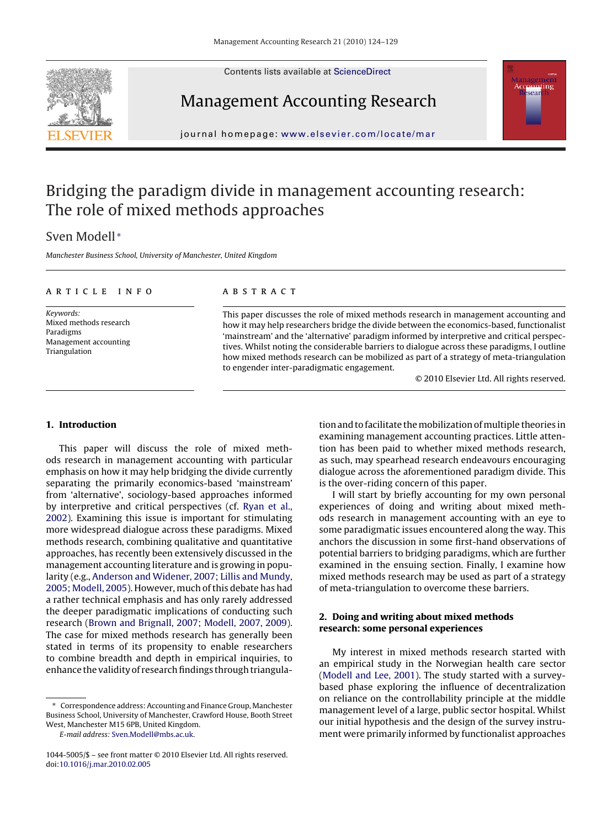Contents lists available at [ScienceDirect](http://www.sciencedirect.com/science/journal/10445005)





## Management Accounting Research

journal homepage: [www.elsevier.com/locate/mar](http://www.elsevier.com/locate/mar)

## Bridging the paradigm divide in management accounting research: The role of mixed methods approaches

### Sven Modell <sup>∗</sup>

Manchester Business School, University of Manchester, United Kingdom

#### article info

Keywords: Mixed methods research Paradigms Management accounting Triangulation

#### abstract

This paper discusses the role of mixed methods research in management accounting and how it may help researchers bridge the divide between the economics-based, functionalist 'mainstream' and the 'alternative' paradigm informed by interpretive and critical perspectives. Whilst noting the considerable barriers to dialogue across these paradigms, I outline how mixed methods research can be mobilized as part of a strategy of meta-triangulation to engender inter-paradigmatic engagement.

© 2010 Elsevier Ltd. All rights reserved.

#### **1. Introduction**

This paper will discuss the role of mixed methods research in management accounting with particular emphasis on how it may help bridging the divide currently separating the primarily economics-based 'mainstream' from 'alternative', sociology-based approaches informed by interpretive and critical perspectives (cf. [Ryan et al.,](#page--1-0) [2002\).](#page--1-0) Examining this issue is important for stimulating more widespread dialogue across these paradigms. Mixed methods research, combining qualitative and quantitative approaches, has recently been extensively discussed in the management accounting literature and is growing in popularity (e.g., [Anderson and Widener, 2007; Lillis and Mundy,](#page--1-0) [2005; Modell, 2005\).](#page--1-0) However, much of this debate has had a rather technical emphasis and has only rarely addressed the deeper paradigmatic implications of conducting such research [\(Brown and Brignall, 2007; Modell, 2007, 2009\).](#page--1-0) The case for mixed methods research has generally been stated in terms of its propensity to enable researchers to combine breadth and depth in empirical inquiries, to enhance the validity of research findings through triangula-

∗ Correspondence address: Accounting and Finance Group, Manchester Business School, University of Manchester, Crawford House, Booth Street West, Manchester M15 6PB, United Kingdom.

E-mail address: [Sven.Modell@mbs.ac.uk](mailto:Sven.Modell@mbs.ac.uk).

tion and to facilitate the mobilization of multiple theories in examining management accounting practices. Little attention has been paid to whether mixed methods research, as such, may spearhead research endeavours encouraging dialogue across the aforementioned paradigm divide. This is the over-riding concern of this paper.

I will start by briefly accounting for my own personal experiences of doing and writing about mixed methods research in management accounting with an eye to some paradigmatic issues encountered along the way. This anchors the discussion in some first-hand observations of potential barriers to bridging paradigms, which are further examined in the ensuing section. Finally, I examine how mixed methods research may be used as part of a strategy of meta-triangulation to overcome these barriers.

#### **2. Doing and writing about mixed methods research: some personal experiences**

My interest in mixed methods research started with an empirical study in the Norwegian health care sector [\(Modell and Lee, 2001\).](#page--1-0) The study started with a surveybased phase exploring the influence of decentralization on reliance on the controllability principle at the middle management level of a large, public sector hospital. Whilst our initial hypothesis and the design of the survey instrument were primarily informed by functionalist approaches

<sup>1044-5005/\$ –</sup> see front matter © 2010 Elsevier Ltd. All rights reserved. doi[:10.1016/j.mar.2010.02.005](dx.doi.org/10.1016/j.mar.2010.02.005)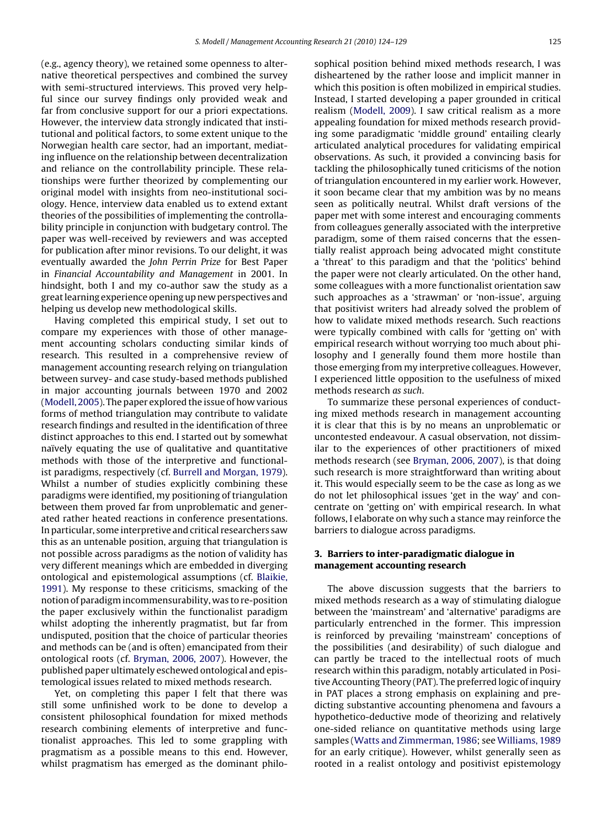(e.g., agency theory), we retained some openness to alternative theoretical perspectives and combined the survey with semi-structured interviews. This proved very helpful since our survey findings only provided weak and far from conclusive support for our a priori expectations. However, the interview data strongly indicated that institutional and political factors, to some extent unique to the Norwegian health care sector, had an important, mediating influence on the relationship between decentralization and reliance on the controllability principle. These relationships were further theorized by complementing our original model with insights from neo-institutional sociology. Hence, interview data enabled us to extend extant theories of the possibilities of implementing the controllability principle in conjunction with budgetary control. The paper was well-received by reviewers and was accepted for publication after minor revisions. To our delight, it was eventually awarded the John Perrin Prize for Best Paper in Financial Accountability and Management in 2001. In hindsight, both I and my co-author saw the study as a great learning experience opening up new perspectives and helping us develop new methodological skills.

Having completed this empirical study, I set out to compare my experiences with those of other management accounting scholars conducting similar kinds of research. This resulted in a comprehensive review of management accounting research relying on triangulation between survey- and case study-based methods published in major accounting journals between 1970 and 2002 [\(Modell, 2005\).](#page--1-0) The paper explored the issue of how various forms of method triangulation may contribute to validate research findings and resulted in the identification of three distinct approaches to this end. I started out by somewhat naïvely equating the use of qualitative and quantitative methods with those of the interpretive and functionalist paradigms, respectively (cf. [Burrell and Morgan, 1979\).](#page--1-0) Whilst a number of studies explicitly combining these paradigms were identified, my positioning of triangulation between them proved far from unproblematic and generated rather heated reactions in conference presentations. In particular, some interpretive and critical researchers saw this as an untenable position, arguing that triangulation is not possible across paradigms as the notion of validity has very different meanings which are embedded in diverging ontological and epistemological assumptions (cf. [Blaikie,](#page--1-0) [1991\).](#page--1-0) My response to these criticisms, smacking of the notion of paradigm incommensurability, was to re-position the paper exclusively within the functionalist paradigm whilst adopting the inherently pragmatist, but far from undisputed, position that the choice of particular theories and methods can be (and is often) emancipated from their ontological roots (cf. [Bryman, 2006, 2007\).](#page--1-0) However, the published paper ultimately eschewed ontological and epistemological issues related to mixed methods research.

Yet, on completing this paper I felt that there was still some unfinished work to be done to develop a consistent philosophical foundation for mixed methods research combining elements of interpretive and functionalist approaches. This led to some grappling with pragmatism as a possible means to this end. However, whilst pragmatism has emerged as the dominant philosophical position behind mixed methods research, I was disheartened by the rather loose and implicit manner in which this position is often mobilized in empirical studies. Instead, I started developing a paper grounded in critical realism [\(Modell, 2009\).](#page--1-0) I saw critical realism as a more appealing foundation for mixed methods research providing some paradigmatic 'middle ground' entailing clearly articulated analytical procedures for validating empirical observations. As such, it provided a convincing basis for tackling the philosophically tuned criticisms of the notion of triangulation encountered in my earlier work. However, it soon became clear that my ambition was by no means seen as politically neutral. Whilst draft versions of the paper met with some interest and encouraging comments from colleagues generally associated with the interpretive paradigm, some of them raised concerns that the essentially realist approach being advocated might constitute a 'threat' to this paradigm and that the 'politics' behind the paper were not clearly articulated. On the other hand, some colleagues with a more functionalist orientation saw such approaches as a 'strawman' or 'non-issue', arguing that positivist writers had already solved the problem of how to validate mixed methods research. Such reactions were typically combined with calls for 'getting on' with empirical research without worrying too much about philosophy and I generally found them more hostile than those emerging from my interpretive colleagues. However, I experienced little opposition to the usefulness of mixed methods research as such.

To summarize these personal experiences of conducting mixed methods research in management accounting it is clear that this is by no means an unproblematic or uncontested endeavour. A casual observation, not dissimilar to the experiences of other practitioners of mixed methods research (see [Bryman, 2006, 2007\),](#page--1-0) is that doing such research is more straightforward than writing about it. This would especially seem to be the case as long as we do not let philosophical issues 'get in the way' and concentrate on 'getting on' with empirical research. In what follows, I elaborate on why such a stance may reinforce the barriers to dialogue across paradigms.

#### **3. Barriers to inter-paradigmatic dialogue in management accounting research**

The above discussion suggests that the barriers to mixed methods research as a way of stimulating dialogue between the 'mainstream' and 'alternative' paradigms are particularly entrenched in the former. This impression is reinforced by prevailing 'mainstream' conceptions of the possibilities (and desirability) of such dialogue and can partly be traced to the intellectual roots of much research within this paradigm, notably articulated in Positive Accounting Theory (PAT). The preferred logic of inquiry in PAT places a strong emphasis on explaining and predicting substantive accounting phenomena and favours a hypothetico-deductive mode of theorizing and relatively one-sided reliance on quantitative methods using large samples ([Watts and Zimmerman, 1986; s](#page--1-0)ee [Williams, 1989](#page--1-0) for an early critique). However, whilst generally seen as rooted in a realist ontology and positivist epistemology